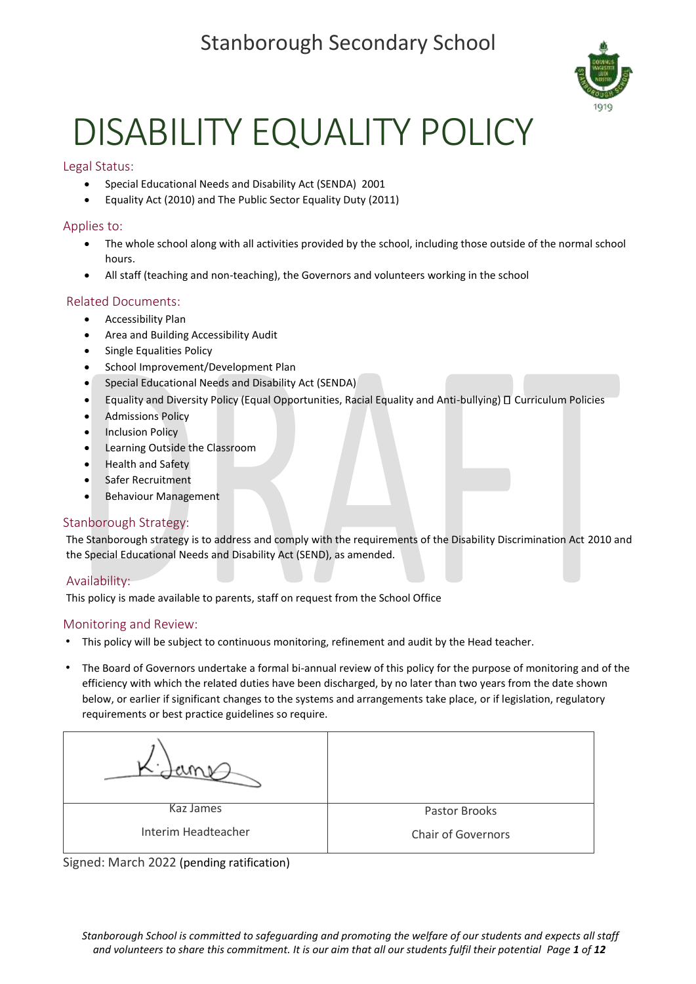# Stanborough Secondary School



# DISABILITY EQUALITY POLICY

#### Legal Status:

- Special Educational Needs and Disability Act (SENDA) 2001
- Equality Act (2010) and The Public Sector Equality Duty (2011)

#### Applies to:

- The whole school along with all activities provided by the school, including those outside of the normal school hours.
- All staff (teaching and non-teaching), the Governors and volunteers working in the school

#### Related Documents:

- Accessibility Plan
- Area and Building Accessibility Audit
- Single Equalities Policy
- School Improvement/Development Plan
- Special Educational Needs and Disability Act (SENDA)
- Equality and Diversity Policy (Equal Opportunities, Racial Equality and Anti-bullying)  $\square$  Curriculum Policies
- Admissions Policy
- **Inclusion Policy**
- Learning Outside the Classroom
- Health and Safety
- Safer Recruitment
- Behaviour Management

#### Stanborough Strategy:

The Stanborough strategy is to address and comply with the requirements of the Disability Discrimination Act 2010 and the Special Educational Needs and Disability Act (SEND), as amended.

#### Availability:

This policy is made available to parents, staff on request from the School Office

#### Monitoring and Review:

- This policy will be subject to continuous monitoring, refinement and audit by the Head teacher.
- The Board of Governors undertake a formal bi-annual review of this policy for the purpose of monitoring and of the efficiency with which the related duties have been discharged, by no later than two years from the date shown below, or earlier if significant changes to the systems and arrangements take place, or if legislation, regulatory requirements or best practice guidelines so require.



Signed: March 2022 (pending ratification)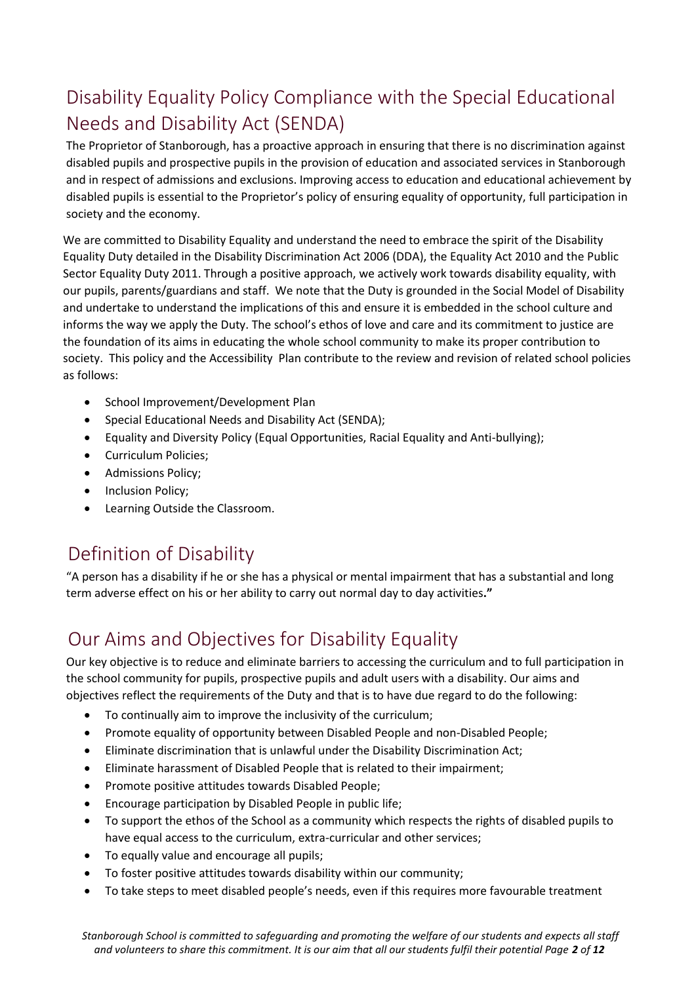# Disability Equality Policy Compliance with the Special Educational Needs and Disability Act (SENDA)

The Proprietor of Stanborough, has a proactive approach in ensuring that there is no discrimination against disabled pupils and prospective pupils in the provision of education and associated services in Stanborough and in respect of admissions and exclusions. Improving access to education and educational achievement by disabled pupils is essential to the Proprietor's policy of ensuring equality of opportunity, full participation in society and the economy.

We are committed to Disability Equality and understand the need to embrace the spirit of the Disability Equality Duty detailed in the Disability Discrimination Act 2006 (DDA), the Equality Act 2010 and the Public Sector Equality Duty 2011. Through a positive approach, we actively work towards disability equality, with our pupils, parents/guardians and staff. We note that the Duty is grounded in the Social Model of Disability and undertake to understand the implications of this and ensure it is embedded in the school culture and informs the way we apply the Duty. The school's ethos of love and care and its commitment to justice are the foundation of its aims in educating the whole school community to make its proper contribution to society. This policy and the Accessibility Plan contribute to the review and revision of related school policies as follows:

- School Improvement/Development Plan
- Special Educational Needs and Disability Act (SENDA);
- Equality and Diversity Policy (Equal Opportunities, Racial Equality and Anti-bullying);
- Curriculum Policies;
- Admissions Policy;
- Inclusion Policy;
- Learning Outside the Classroom.

# Definition of Disability

"A person has a disability if he or she has a physical or mental impairment that has a substantial and long term adverse effect on his or her ability to carry out normal day to day activities**."** 

# Our Aims and Objectives for Disability Equality

Our key objective is to reduce and eliminate barriers to accessing the curriculum and to full participation in the school community for pupils, prospective pupils and adult users with a disability. Our aims and objectives reflect the requirements of the Duty and that is to have due regard to do the following:

- To continually aim to improve the inclusivity of the curriculum;
- Promote equality of opportunity between Disabled People and non-Disabled People;
- Eliminate discrimination that is unlawful under the Disability Discrimination Act;
- Eliminate harassment of Disabled People that is related to their impairment;
- Promote positive attitudes towards Disabled People;
- Encourage participation by Disabled People in public life;
- To support the ethos of the School as a community which respects the rights of disabled pupils to have equal access to the curriculum, extra-curricular and other services;
- To equally value and encourage all pupils;
- To foster positive attitudes towards disability within our community;
- To take steps to meet disabled people's needs, even if this requires more favourable treatment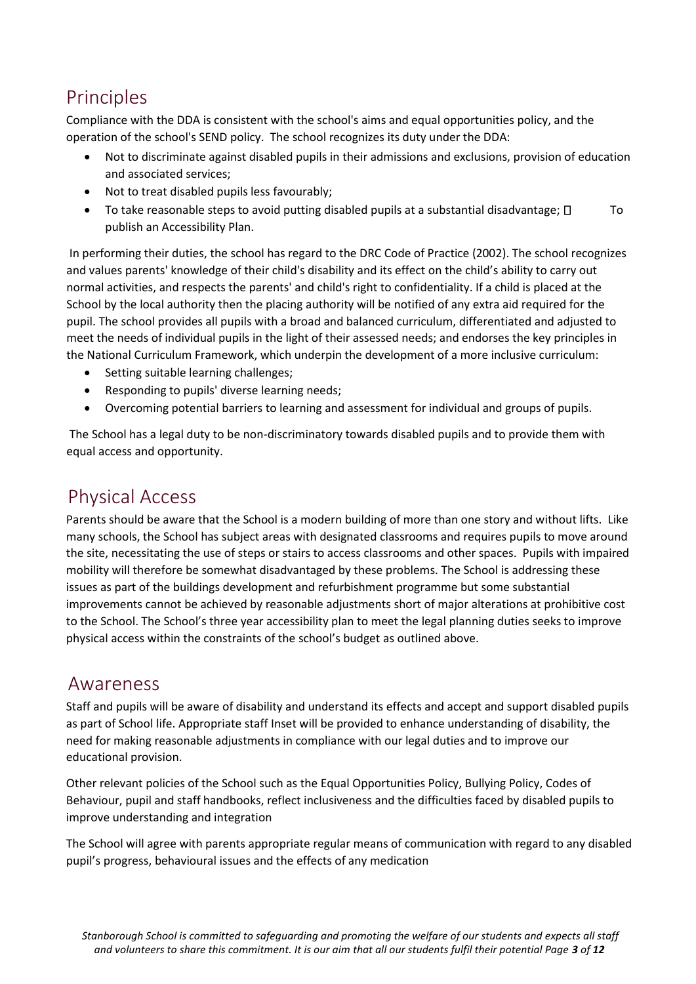# Principles

Compliance with the DDA is consistent with the school's aims and equal opportunities policy, and the operation of the school's SEND policy. The school recognizes its duty under the DDA:

- Not to discriminate against disabled pupils in their admissions and exclusions, provision of education and associated services;
- Not to treat disabled pupils less favourably;
- To take reasonable steps to avoid putting disabled pupils at a substantial disadvantage;  $\square$  To publish an Accessibility Plan.

In performing their duties, the school has regard to the DRC Code of Practice (2002). The school recognizes and values parents' knowledge of their child's disability and its effect on the child's ability to carry out normal activities, and respects the parents' and child's right to confidentiality. If a child is placed at the School by the local authority then the placing authority will be notified of any extra aid required for the pupil. The school provides all pupils with a broad and balanced curriculum, differentiated and adjusted to meet the needs of individual pupils in the light of their assessed needs; and endorses the key principles in the National Curriculum Framework, which underpin the development of a more inclusive curriculum:

- Setting suitable learning challenges;
- Responding to pupils' diverse learning needs;
- Overcoming potential barriers to learning and assessment for individual and groups of pupils.

The School has a legal duty to be non-discriminatory towards disabled pupils and to provide them with equal access and opportunity.

### Physical Access

Parents should be aware that the School is a modern building of more than one story and without lifts. Like many schools, the School has subject areas with designated classrooms and requires pupils to move around the site, necessitating the use of steps or stairs to access classrooms and other spaces. Pupils with impaired mobility will therefore be somewhat disadvantaged by these problems. The School is addressing these issues as part of the buildings development and refurbishment programme but some substantial improvements cannot be achieved by reasonable adjustments short of major alterations at prohibitive cost to the School. The School's three year accessibility plan to meet the legal planning duties seeks to improve physical access within the constraints of the school's budget as outlined above.

### Awareness

Staff and pupils will be aware of disability and understand its effects and accept and support disabled pupils as part of School life. Appropriate staff Inset will be provided to enhance understanding of disability, the need for making reasonable adjustments in compliance with our legal duties and to improve our educational provision.

Other relevant policies of the School such as the Equal Opportunities Policy, Bullying Policy, Codes of Behaviour, pupil and staff handbooks, reflect inclusiveness and the difficulties faced by disabled pupils to improve understanding and integration

The School will agree with parents appropriate regular means of communication with regard to any disabled pupil's progress, behavioural issues and the effects of any medication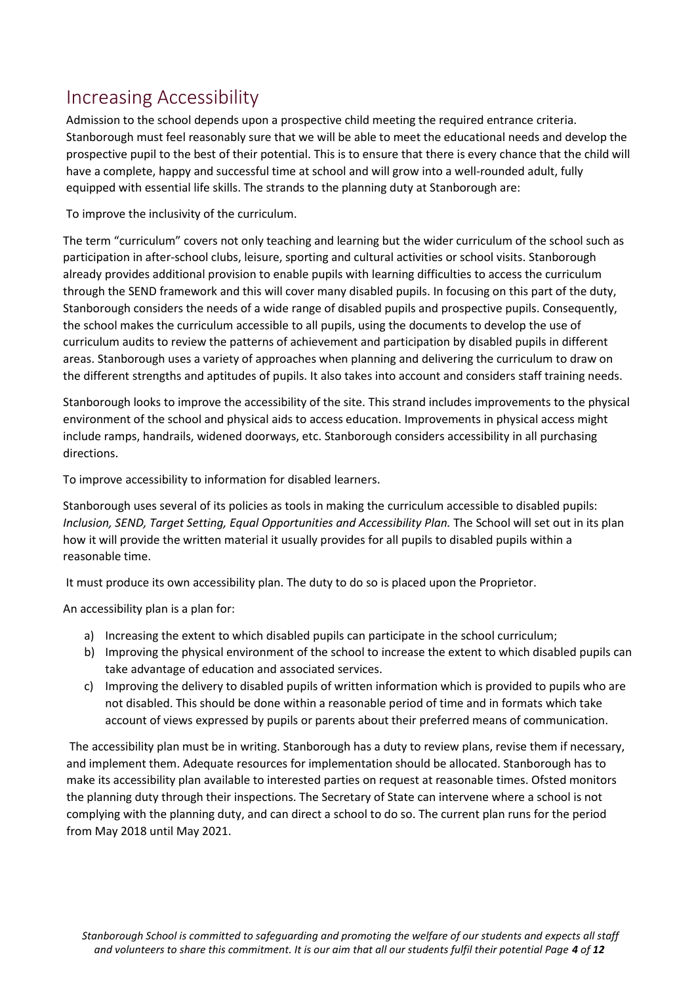# Increasing Accessibility

Admission to the school depends upon a prospective child meeting the required entrance criteria. Stanborough must feel reasonably sure that we will be able to meet the educational needs and develop the prospective pupil to the best of their potential. This is to ensure that there is every chance that the child will have a complete, happy and successful time at school and will grow into a well-rounded adult, fully equipped with essential life skills. The strands to the planning duty at Stanborough are:

To improve the inclusivity of the curriculum.

The term "curriculum" covers not only teaching and learning but the wider curriculum of the school such as participation in after-school clubs, leisure, sporting and cultural activities or school visits. Stanborough already provides additional provision to enable pupils with learning difficulties to access the curriculum through the SEND framework and this will cover many disabled pupils. In focusing on this part of the duty, Stanborough considers the needs of a wide range of disabled pupils and prospective pupils. Consequently, the school makes the curriculum accessible to all pupils, using the documents to develop the use of curriculum audits to review the patterns of achievement and participation by disabled pupils in different areas. Stanborough uses a variety of approaches when planning and delivering the curriculum to draw on the different strengths and aptitudes of pupils. It also takes into account and considers staff training needs.

Stanborough looks to improve the accessibility of the site. This strand includes improvements to the physical environment of the school and physical aids to access education. Improvements in physical access might include ramps, handrails, widened doorways, etc. Stanborough considers accessibility in all purchasing directions.

To improve accessibility to information for disabled learners.

Stanborough uses several of its policies as tools in making the curriculum accessible to disabled pupils: *Inclusion, SEND, Target Setting, Equal Opportunities and Accessibility Plan. The School will set out in its plan* how it will provide the written material it usually provides for all pupils to disabled pupils within a reasonable time.

It must produce its own accessibility plan. The duty to do so is placed upon the Proprietor.

An accessibility plan is a plan for:

- a) Increasing the extent to which disabled pupils can participate in the school curriculum;
- b) Improving the physical environment of the school to increase the extent to which disabled pupils can take advantage of education and associated services.
- c) Improving the delivery to disabled pupils of written information which is provided to pupils who are not disabled. This should be done within a reasonable period of time and in formats which take account of views expressed by pupils or parents about their preferred means of communication.

The accessibility plan must be in writing. Stanborough has a duty to review plans, revise them if necessary, and implement them. Adequate resources for implementation should be allocated. Stanborough has to make its accessibility plan available to interested parties on request at reasonable times. Ofsted monitors the planning duty through their inspections. The Secretary of State can intervene where a school is not complying with the planning duty, and can direct a school to do so. The current plan runs for the period from May 2018 until May 2021.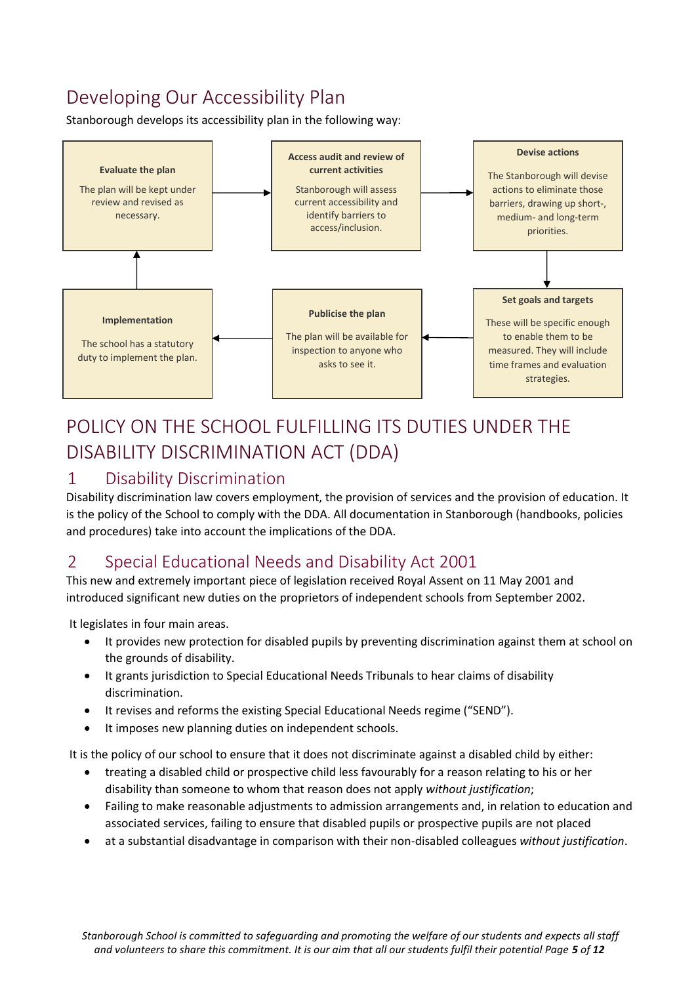# Developing Our Accessibility Plan

Stanborough develops its accessibility plan in the following way:



# POLICY ON THE SCHOOL FULFILLING ITS DUTIES UNDER THE DISABILITY DISCRIMINATION ACT (DDA)

### 1 Disability Discrimination

Disability discrimination law covers employment, the provision of services and the provision of education. It is the policy of the School to comply with the DDA. All documentation in Stanborough (handbooks, policies and procedures) take into account the implications of the DDA.

### 2 Special Educational Needs and Disability Act 2001

This new and extremely important piece of legislation received Royal Assent on 11 May 2001 and introduced significant new duties on the proprietors of independent schools from September 2002.

It legislates in four main areas.

- It provides new protection for disabled pupils by preventing discrimination against them at school on the grounds of disability.
- It grants jurisdiction to Special Educational Needs Tribunals to hear claims of disability discrimination.
- It revises and reforms the existing Special Educational Needs regime ("SEND").
- It imposes new planning duties on independent schools.

It is the policy of our school to ensure that it does not discriminate against a disabled child by either:

- treating a disabled child or prospective child less favourably for a reason relating to his or her disability than someone to whom that reason does not apply *without justification*;
- Failing to make reasonable adjustments to admission arrangements and, in relation to education and associated services, failing to ensure that disabled pupils or prospective pupils are not placed
- at a substantial disadvantage in comparison with their non-disabled colleagues *without justification*.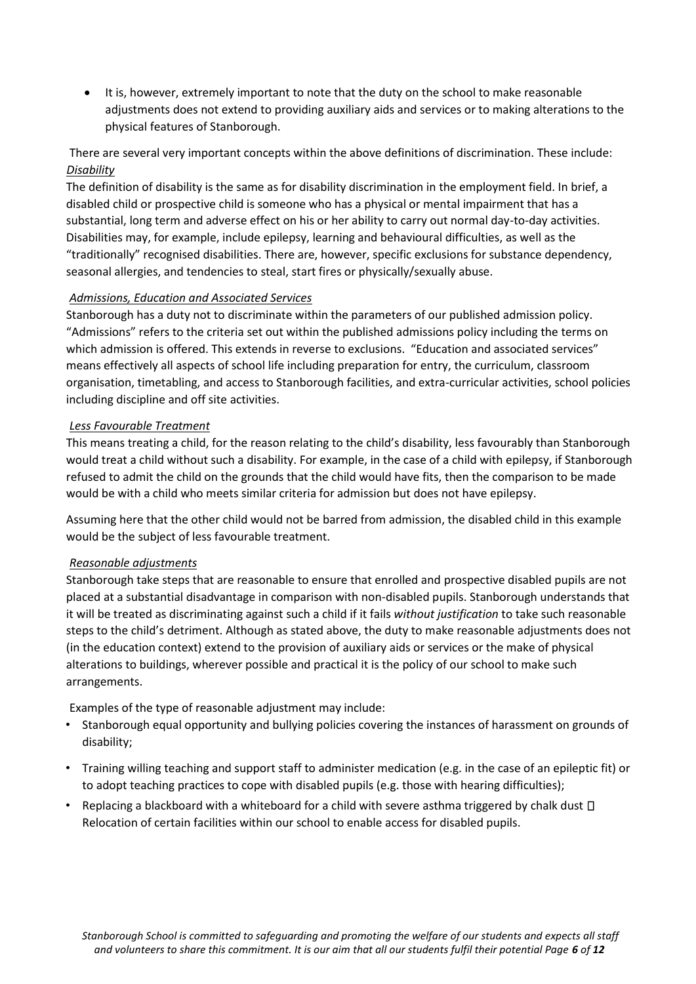• It is, however, extremely important to note that the duty on the school to make reasonable adjustments does not extend to providing auxiliary aids and services or to making alterations to the physical features of Stanborough.

There are several very important concepts within the above definitions of discrimination. These include: *Disability*

The definition of disability is the same as for disability discrimination in the employment field. In brief, a disabled child or prospective child is someone who has a physical or mental impairment that has a substantial, long term and adverse effect on his or her ability to carry out normal day-to-day activities. Disabilities may, for example, include epilepsy, learning and behavioural difficulties, as well as the "traditionally" recognised disabilities. There are, however, specific exclusions for substance dependency, seasonal allergies, and tendencies to steal, start fires or physically/sexually abuse.

#### *Admissions, Education and Associated Services*

Stanborough has a duty not to discriminate within the parameters of our published admission policy. "Admissions" refers to the criteria set out within the published admissions policy including the terms on which admission is offered. This extends in reverse to exclusions. "Education and associated services" means effectively all aspects of school life including preparation for entry, the curriculum, classroom organisation, timetabling, and access to Stanborough facilities, and extra-curricular activities, school policies including discipline and off site activities.

#### *Less Favourable Treatment*

This means treating a child, for the reason relating to the child's disability, less favourably than Stanborough would treat a child without such a disability. For example, in the case of a child with epilepsy, if Stanborough refused to admit the child on the grounds that the child would have fits, then the comparison to be made would be with a child who meets similar criteria for admission but does not have epilepsy.

Assuming here that the other child would not be barred from admission, the disabled child in this example would be the subject of less favourable treatment.

#### *Reasonable adjustments*

Stanborough take steps that are reasonable to ensure that enrolled and prospective disabled pupils are not placed at a substantial disadvantage in comparison with non-disabled pupils. Stanborough understands that it will be treated as discriminating against such a child if it fails *without justification* to take such reasonable steps to the child's detriment. Although as stated above, the duty to make reasonable adjustments does not (in the education context) extend to the provision of auxiliary aids or services or the make of physical alterations to buildings, wherever possible and practical it is the policy of our school to make such arrangements.

Examples of the type of reasonable adjustment may include:

- Stanborough equal opportunity and bullying policies covering the instances of harassment on grounds of disability;
- Training willing teaching and support staff to administer medication (e.g. in the case of an epileptic fit) or to adopt teaching practices to cope with disabled pupils (e.g. those with hearing difficulties);
- Replacing a blackboard with a whiteboard for a child with severe asthma triggered by chalk dust  $\Box$ Relocation of certain facilities within our school to enable access for disabled pupils.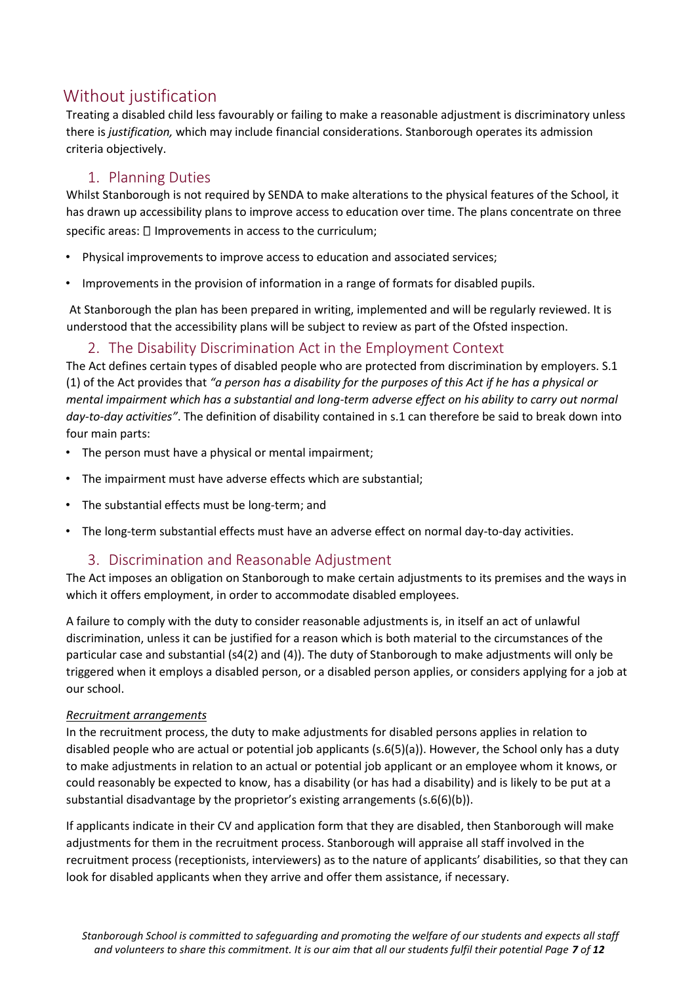### Without justification

Treating a disabled child less favourably or failing to make a reasonable adjustment is discriminatory unless there is *justification,* which may include financial considerations. Stanborough operates its admission criteria objectively.

#### 1. Planning Duties

Whilst Stanborough is not required by SENDA to make alterations to the physical features of the School, it has drawn up accessibility plans to improve access to education over time. The plans concentrate on three specific areas:  $\square$  Improvements in access to the curriculum;

- Physical improvements to improve access to education and associated services;
- Improvements in the provision of information in a range of formats for disabled pupils.

At Stanborough the plan has been prepared in writing, implemented and will be regularly reviewed. It is understood that the accessibility plans will be subject to review as part of the Ofsted inspection.

#### 2. The Disability Discrimination Act in the Employment Context

The Act defines certain types of disabled people who are protected from discrimination by employers. S.1 (1) of the Act provides that *"a person has a disability for the purposes of this Act if he has a physical or mental impairment which has a substantial and long-term adverse effect on his ability to carry out normal day-to-day activities"*. The definition of disability contained in s.1 can therefore be said to break down into four main parts:

- The person must have a physical or mental impairment;
- The impairment must have adverse effects which are substantial;
- The substantial effects must be long-term; and
- The long-term substantial effects must have an adverse effect on normal day-to-day activities.

#### 3. Discrimination and Reasonable Adjustment

The Act imposes an obligation on Stanborough to make certain adjustments to its premises and the ways in which it offers employment, in order to accommodate disabled employees.

A failure to comply with the duty to consider reasonable adjustments is, in itself an act of unlawful discrimination, unless it can be justified for a reason which is both material to the circumstances of the particular case and substantial (s4(2) and (4)). The duty of Stanborough to make adjustments will only be triggered when it employs a disabled person, or a disabled person applies, or considers applying for a job at our school.

#### *Recruitment arrangements*

In the recruitment process, the duty to make adjustments for disabled persons applies in relation to disabled people who are actual or potential job applicants (s.6(5)(a)). However, the School only has a duty to make adjustments in relation to an actual or potential job applicant or an employee whom it knows, or could reasonably be expected to know, has a disability (or has had a disability) and is likely to be put at a substantial disadvantage by the proprietor's existing arrangements (s.6(6)(b)).

If applicants indicate in their CV and application form that they are disabled, then Stanborough will make adjustments for them in the recruitment process. Stanborough will appraise all staff involved in the recruitment process (receptionists, interviewers) as to the nature of applicants' disabilities, so that they can look for disabled applicants when they arrive and offer them assistance, if necessary.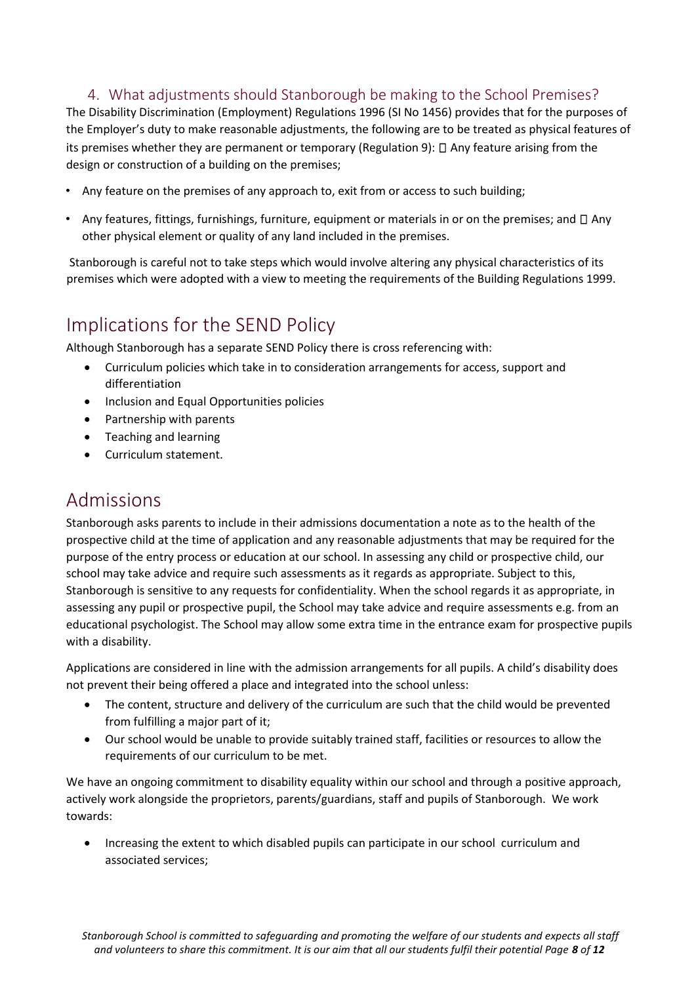### 4. What adjustments should Stanborough be making to the School Premises?

The Disability Discrimination (Employment) Regulations 1996 (SI No 1456) provides that for the purposes of the Employer's duty to make reasonable adjustments, the following are to be treated as physical features of its premises whether they are permanent or temporary (Regulation 9):  $\Box$  Any feature arising from the design or construction of a building on the premises;

- Any feature on the premises of any approach to, exit from or access to such building;
- Any features, fittings, furnishings, furniture, equipment or materials in or on the premises; and  $\Box$  Any other physical element or quality of any land included in the premises.

Stanborough is careful not to take steps which would involve altering any physical characteristics of its premises which were adopted with a view to meeting the requirements of the Building Regulations 1999.

### Implications for the SEND Policy

Although Stanborough has a separate SEND Policy there is cross referencing with:

- Curriculum policies which take in to consideration arrangements for access, support and differentiation
- Inclusion and Equal Opportunities policies
- Partnership with parents
- Teaching and learning
- Curriculum statement.

### Admissions

Stanborough asks parents to include in their admissions documentation a note as to the health of the prospective child at the time of application and any reasonable adjustments that may be required for the purpose of the entry process or education at our school. In assessing any child or prospective child, our school may take advice and require such assessments as it regards as appropriate. Subject to this, Stanborough is sensitive to any requests for confidentiality. When the school regards it as appropriate, in assessing any pupil or prospective pupil, the School may take advice and require assessments e.g. from an educational psychologist. The School may allow some extra time in the entrance exam for prospective pupils with a disability.

Applications are considered in line with the admission arrangements for all pupils. A child's disability does not prevent their being offered a place and integrated into the school unless:

- The content, structure and delivery of the curriculum are such that the child would be prevented from fulfilling a major part of it;
- Our school would be unable to provide suitably trained staff, facilities or resources to allow the requirements of our curriculum to be met.

We have an ongoing commitment to disability equality within our school and through a positive approach, actively work alongside the proprietors, parents/guardians, staff and pupils of Stanborough. We work towards:

• Increasing the extent to which disabled pupils can participate in our school curriculum and associated services;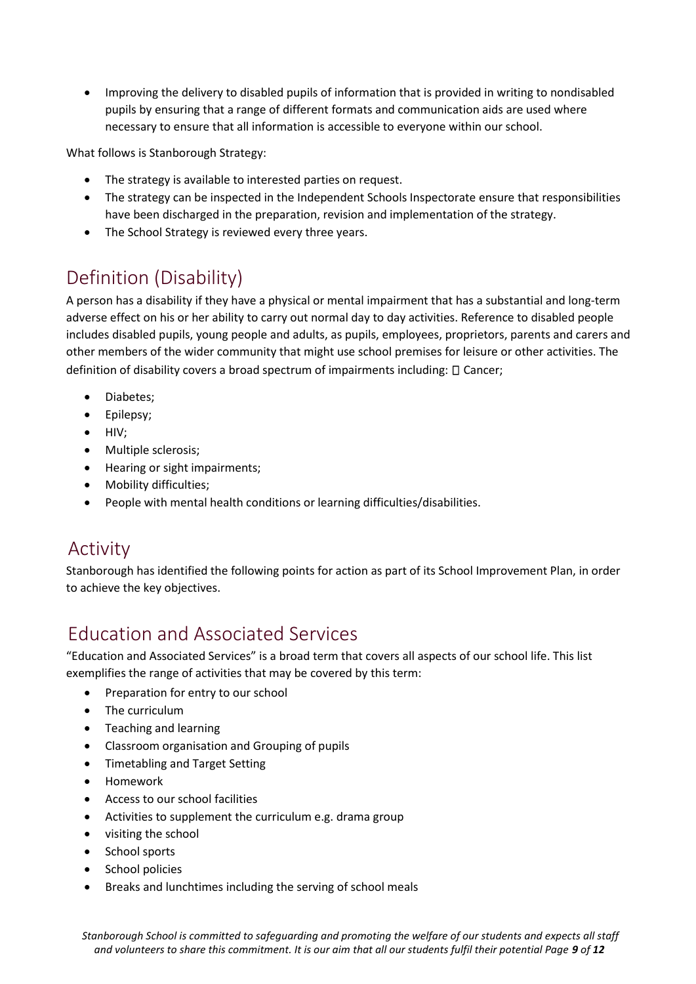• Improving the delivery to disabled pupils of information that is provided in writing to nondisabled pupils by ensuring that a range of different formats and communication aids are used where necessary to ensure that all information is accessible to everyone within our school.

What follows is Stanborough Strategy:

- The strategy is available to interested parties on request.
- The strategy can be inspected in the Independent Schools Inspectorate ensure that responsibilities have been discharged in the preparation, revision and implementation of the strategy.
- The School Strategy is reviewed every three years.

# Definition (Disability)

A person has a disability if they have a physical or mental impairment that has a substantial and long-term adverse effect on his or her ability to carry out normal day to day activities. Reference to disabled people includes disabled pupils, young people and adults, as pupils, employees, proprietors, parents and carers and other members of the wider community that might use school premises for leisure or other activities. The definition of disability covers a broad spectrum of impairments including:  $\square$  Cancer;

- Diabetes;
- Epilepsy;
- HIV;
- Multiple sclerosis;
- Hearing or sight impairments;
- Mobility difficulties;
- People with mental health conditions or learning difficulties/disabilities.

### Activity

Stanborough has identified the following points for action as part of its School Improvement Plan, in order to achieve the key objectives.

### Education and Associated Services

"Education and Associated Services" is a broad term that covers all aspects of our school life. This list exemplifies the range of activities that may be covered by this term:

- Preparation for entry to our school
- The curriculum
- Teaching and learning
- Classroom organisation and Grouping of pupils
- Timetabling and Target Setting
- Homework
- Access to our school facilities
- Activities to supplement the curriculum e.g. drama group
- visiting the school
- School sports
- School policies
- Breaks and lunchtimes including the serving of school meals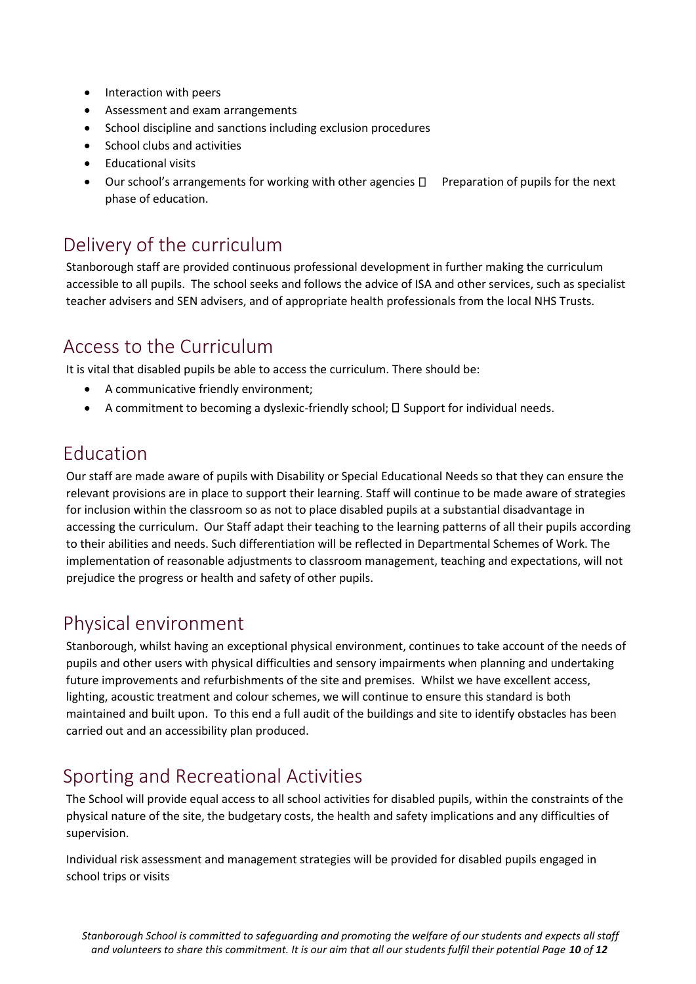- Interaction with peers
- Assessment and exam arrangements
- School discipline and sanctions including exclusion procedures
- School clubs and activities
- Educational visits
- Our school's arrangements for working with other agencies  $\Box$  Preparation of pupils for the next phase of education.

### Delivery of the curriculum

Stanborough staff are provided continuous professional development in further making the curriculum accessible to all pupils. The school seeks and follows the advice of ISA and other services, such as specialist teacher advisers and SEN advisers, and of appropriate health professionals from the local NHS Trusts.

### Access to the Curriculum

It is vital that disabled pupils be able to access the curriculum. There should be:

- A communicative friendly environment;
- A commitment to becoming a dyslexic-friendly school;  $\Box$  Support for individual needs.

### Education

Our staff are made aware of pupils with Disability or Special Educational Needs so that they can ensure the relevant provisions are in place to support their learning. Staff will continue to be made aware of strategies for inclusion within the classroom so as not to place disabled pupils at a substantial disadvantage in accessing the curriculum. Our Staff adapt their teaching to the learning patterns of all their pupils according to their abilities and needs. Such differentiation will be reflected in Departmental Schemes of Work. The implementation of reasonable adjustments to classroom management, teaching and expectations, will not prejudice the progress or health and safety of other pupils.

### Physical environment

Stanborough, whilst having an exceptional physical environment, continues to take account of the needs of pupils and other users with physical difficulties and sensory impairments when planning and undertaking future improvements and refurbishments of the site and premises. Whilst we have excellent access, lighting, acoustic treatment and colour schemes, we will continue to ensure this standard is both maintained and built upon. To this end a full audit of the buildings and site to identify obstacles has been carried out and an accessibility plan produced.

# Sporting and Recreational Activities

The School will provide equal access to all school activities for disabled pupils, within the constraints of the physical nature of the site, the budgetary costs, the health and safety implications and any difficulties of supervision.

Individual risk assessment and management strategies will be provided for disabled pupils engaged in school trips or visits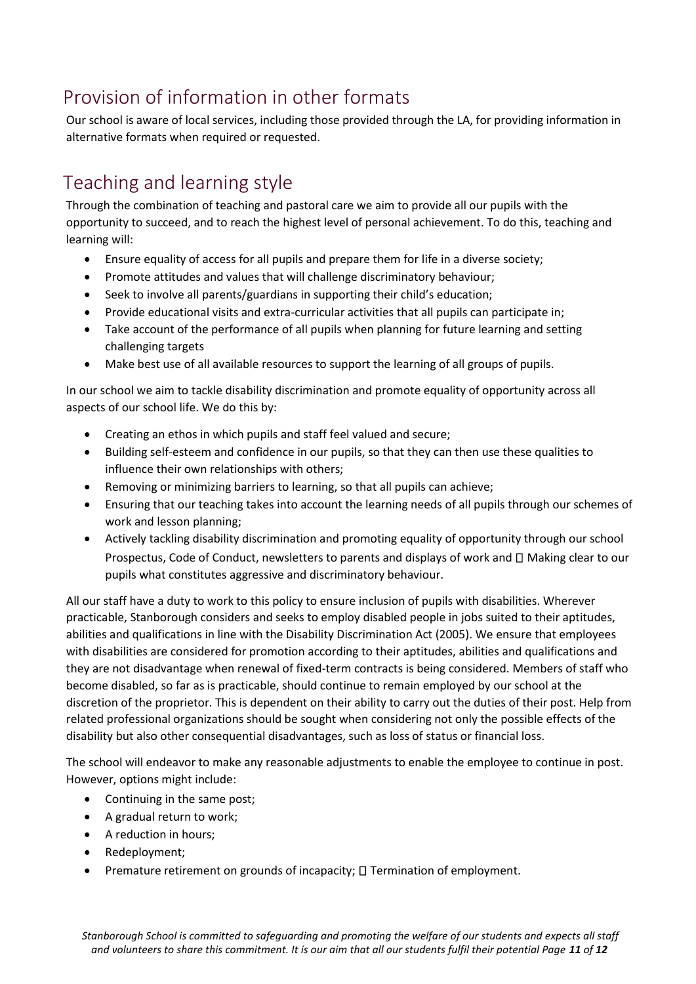# Provision of information in other formats

Our school is aware of local services, including those provided through the LA, for providing information in alternative formats when required or requested.

# Teaching and learning style

Through the combination of teaching and pastoral care we aim to provide all our pupils with the opportunity to succeed, and to reach the highest level of personal achievement. To do this, teaching and learning will:

- Ensure equality of access for all pupils and prepare them for life in a diverse society;
- Promote attitudes and values that will challenge discriminatory behaviour;
- Seek to involve all parents/guardians in supporting their child's education;
- Provide educational visits and extra-curricular activities that all pupils can participate in;
- Take account of the performance of all pupils when planning for future learning and setting challenging targets
- Make best use of all available resources to support the learning of all groups of pupils.

In our school we aim to tackle disability discrimination and promote equality of opportunity across all aspects of our school life. We do this by:

- Creating an ethos in which pupils and staff feel valued and secure;
- Building self-esteem and confidence in our pupils, so that they can then use these qualities to influence their own relationships with others;
- Removing or minimizing barriers to learning, so that all pupils can achieve;
- Ensuring that our teaching takes into account the learning needs of all pupils through our schemes of work and lesson planning;
- Actively tackling disability discrimination and promoting equality of opportunity through our school Prospectus, Code of Conduct, newsletters to parents and displays of work and  $\Box$  Making clear to our pupils what constitutes aggressive and discriminatory behaviour.

All our staff have a duty to work to this policy to ensure inclusion of pupils with disabilities. Wherever practicable, Stanborough considers and seeks to employ disabled people in jobs suited to their aptitudes, abilities and qualifications in line with the Disability Discrimination Act (2005). We ensure that employees with disabilities are considered for promotion according to their aptitudes, abilities and qualifications and they are not disadvantage when renewal of fixed-term contracts is being considered. Members of staff who become disabled, so far as is practicable, should continue to remain employed by our school at the discretion of the proprietor. This is dependent on their ability to carry out the duties of their post. Help from related professional organizations should be sought when considering not only the possible effects of the disability but also other consequential disadvantages, such as loss of status or financial loss.

The school will endeavor to make any reasonable adjustments to enable the employee to continue in post. However, options might include:

- Continuing in the same post;
- A gradual return to work;
- A reduction in hours;
- Redeployment;
- Premature retirement on grounds of incapacity;  $\square$  Termination of employment.